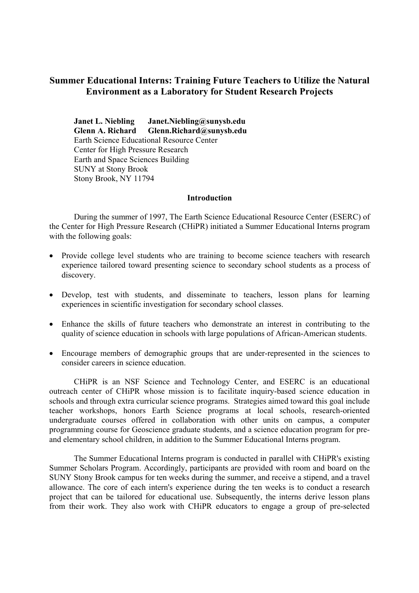# **Summer Educational Interns: Training Future Teachers to Utilize the Natural Environment as a Laboratory for Student Research Projects**

**Janet L. Niebling Janet.Niebling@sunysb.edu Glenn A. Richard Glenn.Richard@sunysb.edu**  Earth Science Educational Resource Center Center for High Pressure Research Earth and Space Sciences Building SUNY at Stony Brook Stony Brook, NY 11794

#### **Introduction**

During the summer of 1997, The Earth Science Educational Resource Center (ESERC) of the Center for High Pressure Research (CHiPR) initiated a Summer Educational Interns program with the following goals:

- Provide college level students who are training to become science teachers with research experience tailored toward presenting science to secondary school students as a process of discovery.
- Develop, test with students, and disseminate to teachers, lesson plans for learning experiences in scientific investigation for secondary school classes.
- Enhance the skills of future teachers who demonstrate an interest in contributing to the quality of science education in schools with large populations of African-American students.
- Encourage members of demographic groups that are under-represented in the sciences to consider careers in science education.

CHiPR is an NSF Science and Technology Center, and ESERC is an educational outreach center of CHiPR whose mission is to facilitate inquiry-based science education in schools and through extra curricular science programs. Strategies aimed toward this goal include teacher workshops, honors Earth Science programs at local schools, research-oriented undergraduate courses offered in collaboration with other units on campus, a computer programming course for Geoscience graduate students, and a science education program for preand elementary school children, in addition to the Summer Educational Interns program.

The Summer Educational Interns program is conducted in parallel with CHiPR's existing Summer Scholars Program. Accordingly, participants are provided with room and board on the SUNY Stony Brook campus for ten weeks during the summer, and receive a stipend, and a travel allowance. The core of each intern's experience during the ten weeks is to conduct a research project that can be tailored for educational use. Subsequently, the interns derive lesson plans from their work. They also work with CHiPR educators to engage a group of pre-selected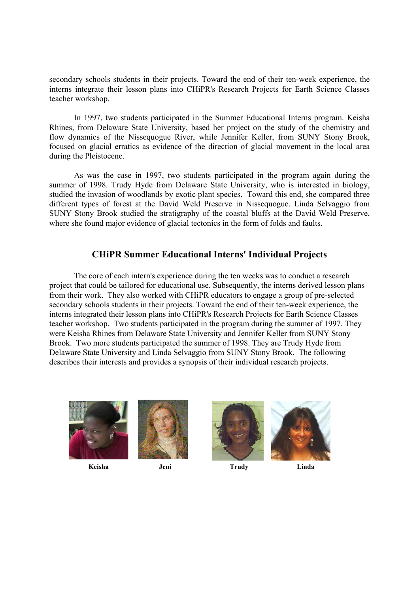secondary schools students in their projects. Toward the end of their ten-week experience, the interns integrate their lesson plans into CHiPR's Research Projects for Earth Science Classes teacher workshop.

In 1997, two students participated in the Summer Educational Interns program. Keisha Rhines, from Delaware State University, based her project on the study of the chemistry and flow dynamics of the Nissequogue River, while Jennifer Keller, from SUNY Stony Brook, focused on glacial erratics as evidence of the direction of glacial movement in the local area during the Pleistocene.

As was the case in 1997, two students participated in the program again during the summer of 1998. Trudy Hyde from Delaware State University, who is interested in biology, studied the invasion of woodlands by exotic plant species. Toward this end, she compared three different types of forest at the David Weld Preserve in Nissequogue. Linda Selvaggio from SUNY Stony Brook studied the stratigraphy of the coastal bluffs at the David Weld Preserve, where she found major evidence of glacial tectonics in the form of folds and faults.

## **CHiPR Summer Educational Interns' Individual Projects**

The core of each intern's experience during the ten weeks was to conduct a research project that could be tailored for educational use. Subsequently, the interns derived lesson plans from their work. They also worked with CHiPR educators to engage a group of pre-selected secondary schools students in their projects. Toward the end of their ten-week experience, the interns integrated their lesson plans into CHiPR's Research Projects for Earth Science Classes teacher workshop. Two students participated in the program during the summer of 1997. They were Keisha Rhines from Delaware State University and Jennifer Keller from SUNY Stony Brook. Two more students participated the summer of 1998. They are Trudy Hyde from Delaware State University and Linda Selvaggio from SUNY Stony Brook. The following describes their interests and provides a synopsis of their individual research projects.









**Keisha Jeni Trudy Linda**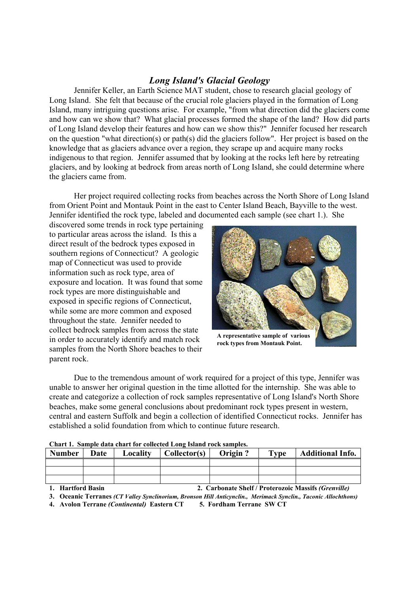## *Long Island's Glacial Geology*

Jennifer Keller, an Earth Science MAT student, chose to research glacial geology of Long Island. She felt that because of the crucial role glaciers played in the formation of Long Island, many intriguing questions arise. For example, "from what direction did the glaciers come and how can we show that? What glacial processes formed the shape of the land? How did parts of Long Island develop their features and how can we show this?" Jennifer focused her research on the question "what direction(s) or path(s) did the glaciers follow". Her project is based on the knowledge that as glaciers advance over a region, they scrape up and acquire many rocks indigenous to that region. Jennifer assumed that by looking at the rocks left here by retreating glaciers, and by looking at bedrock from areas north of Long Island, she could determine where the glaciers came from.

Her project required collecting rocks from beaches across the North Shore of Long Island from Orient Point and Montauk Point in the east to Center Island Beach, Bayville to the west. Jennifer identified the rock type, labeled and documented each sample (see chart 1.). She

discovered some trends in rock type pertaining to particular areas across the island. Is this a direct result of the bedrock types exposed in southern regions of Connecticut? A geologic map of Connecticut was used to provide information such as rock type, area of exposure and location. It was found that some rock types are more distinguishable and exposed in specific regions of Connecticut, while some are more common and exposed throughout the state. Jennifer needed to collect bedrock samples from across the state in order to accurately identify and match rock samples from the North Shore beaches to their parent rock.



**A representative sample of various rock types from Montauk Point.** 

Due to the tremendous amount of work required for a project of this type, Jennifer was unable to answer her original question in the time allotted for the internship. She was able to create and categorize a collection of rock samples representative of Long Island's North Shore beaches, make some general conclusions about predominant rock types present in western, central and eastern Suffolk and begin a collection of identified Connecticut rocks. Jennifer has established a solid foundation from which to continue future research.

| Chart 1. Sample data chart for conected Long island rock samples. |      |          |              |         |      |                         |  |  |  |  |  |  |
|-------------------------------------------------------------------|------|----------|--------------|---------|------|-------------------------|--|--|--|--|--|--|
| <b>Number</b>                                                     | Date | Locality | Collector(s) | Origin? | Type | <b>Additional Info.</b> |  |  |  |  |  |  |
|                                                                   |      |          |              |         |      |                         |  |  |  |  |  |  |
|                                                                   |      |          |              |         |      |                         |  |  |  |  |  |  |
|                                                                   |      |          |              |         |      |                         |  |  |  |  |  |  |

|  |  |  | Chart 1. Sample data chart for collected Long Island rock samples. |  |
|--|--|--|--------------------------------------------------------------------|--|
|  |  |  |                                                                    |  |

**1. Hartford Basin 2. Carbonate Shelf / Proterozoic Massifs** *(Grenville)*

**3. Oceanic Terranes** *(CT Valley Synclinorium, Bronson Hill Anticynclin., Merimack Synclin., Taconic Allochthons)*

**4. Avolon Terrane** *(Continental)* **Eastern CT 5. Fordham Terrane SW CT**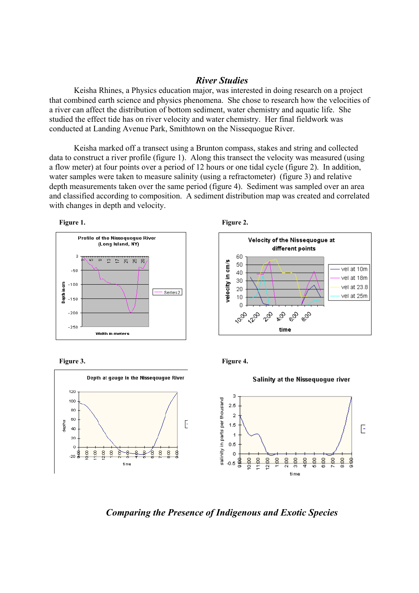### *River Studies*

Keisha Rhines, a Physics education major, was interested in doing research on a project that combined earth science and physics phenomena. She chose to research how the velocities of a river can affect the distribution of bottom sediment, water chemistry and aquatic life. She studied the effect tide has on river velocity and water chemistry. Her final fieldwork was conducted at Landing Avenue Park, Smithtown on the Nissequogue River.

 Keisha marked off a transect using a Brunton compass, stakes and string and collected data to construct a river profile (figure 1). Along this transect the velocity was measured (using a flow meter) at four points over a period of 12 hours or one tidal cycle (figure 2). In addition, water samples were taken to measure salinity (using a refractometer) (figure 3) and relative depth measurements taken over the same period (figure 4). Sediment was sampled over an area and classified according to composition. A sediment distribution map was created and correlated with changes in depth and velocity.















*Comparing the Presence of Indigenous and Exotic Species*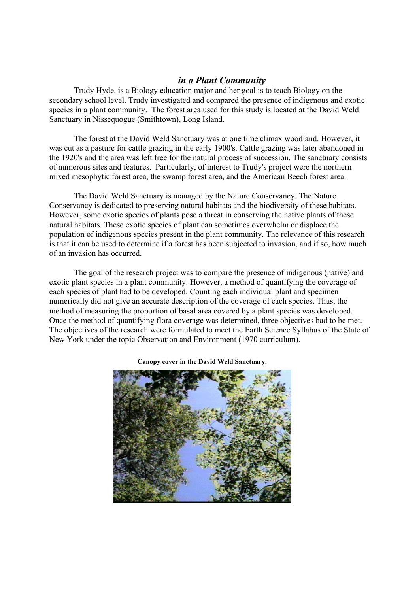### *in a Plant Community*

Trudy Hyde, is a Biology education major and her goal is to teach Biology on the secondary school level. Trudy investigated and compared the presence of indigenous and exotic species in a plant community. The forest area used for this study is located at the David Weld Sanctuary in Nissequogue (Smithtown), Long Island.

The forest at the David Weld Sanctuary was at one time climax woodland. However, it was cut as a pasture for cattle grazing in the early 1900's. Cattle grazing was later abandoned in the 1920's and the area was left free for the natural process of succession. The sanctuary consists of numerous sites and features. Particularly, of interest to Trudy's project were the northern mixed mesophytic forest area, the swamp forest area, and the American Beech forest area.

The David Weld Sanctuary is managed by the Nature Conservancy. The Nature Conservancy is dedicated to preserving natural habitats and the biodiversity of these habitats. However, some exotic species of plants pose a threat in conserving the native plants of these natural habitats. These exotic species of plant can sometimes overwhelm or displace the population of indigenous species present in the plant community. The relevance of this research is that it can be used to determine if a forest has been subjected to invasion, and if so, how much of an invasion has occurred.

The goal of the research project was to compare the presence of indigenous (native) and exotic plant species in a plant community. However, a method of quantifying the coverage of each species of plant had to be developed. Counting each individual plant and specimen numerically did not give an accurate description of the coverage of each species. Thus, the method of measuring the proportion of basal area covered by a plant species was developed. Once the method of quantifying flora coverage was determined, three objectives had to be met. The objectives of the research were formulated to meet the Earth Science Syllabus of the State of New York under the topic Observation and Environment (1970 curriculum).



**Canopy cover in the David Weld Sanctuary.**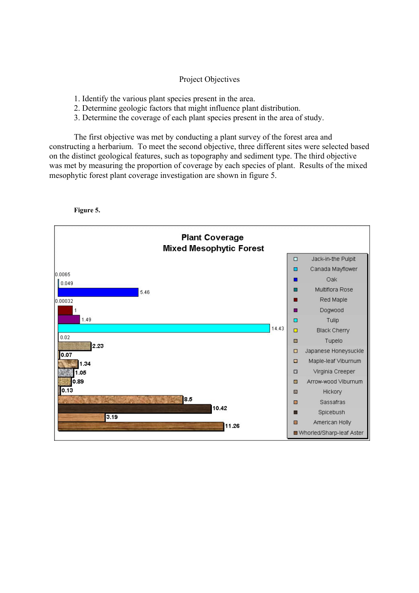#### Project Objectives

- 1. Identify the various plant species present in the area.
- 2. Determine geologic factors that might influence plant distribution.
- 3. Determine the coverage of each plant species present in the area of study.

The first objective was met by conducting a plant survey of the forest area and constructing a herbarium. To meet the second objective, three different sites were selected based on the distinct geological features, such as topography and sediment type. The third objective was met by measuring the proportion of coverage by each species of plant. Results of the mixed mesophytic forest plant coverage investigation are shown in figure 5.

**Figure 5.**